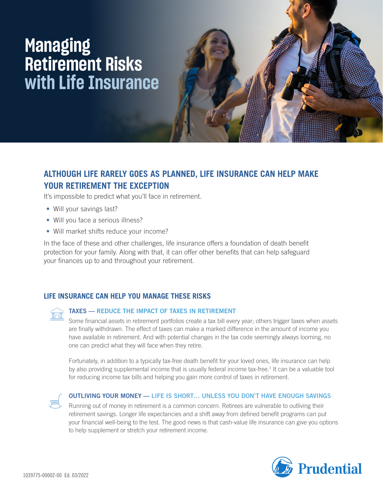# **Managing Retirement Risks with Life Insurance**

# **ALTHOUGH LIFE RARELY GOES AS PLANNED, LIFE INSURANCE CAN HELP MAKE YOUR RETIREMENT THE EXCEPTION**

It's impossible to predict what you'll face in retirement.

- Will your savings last?
- Will you face a serious illness?
- Will market shifts reduce your income?

In the face of these and other challenges, life insurance offers a foundation of death benefit protection for your family. Along with that, it can offer other benefits that can help safeguard your finances up to and throughout your retirement.

## **LIFE INSURANCE CAN HELP YOU MANAGE THESE RISKS**



### TAXES — REDUCE THE IMPACT OF TAXES IN RETIREMENT

Some financial assets in retirement portfolios create a tax bill every year; others trigger taxes when assets are finally withdrawn. The effect of taxes can make a marked difference in the amount of income you have available in retirement. And with potential changes in the tax code seemingly always looming, no one can predict what they will face when they retire.

Fortunately, in addition to a typically tax-free death benefit for your loved ones, life insurance can help by also providing supplemental income that is usually federal income tax-free.<sup>1</sup> It can be a valuable tool for reducing income tax bills and helping you gain more control of taxes in retirement.



#### OUTLIVING YOUR MONEY — LIFE IS SHORT… UNLESS YOU DON'T HAVE ENOUGH SAVINGS

Running out of money in retirement is a common concern. Retirees are vulnerable to outliving their retirement savings. Longer life expectancies and a shift away from defined benefit programs can put your financial well-being to the test. The good news is that cash-value life insurance can give you options to help supplement or stretch your retirement income.